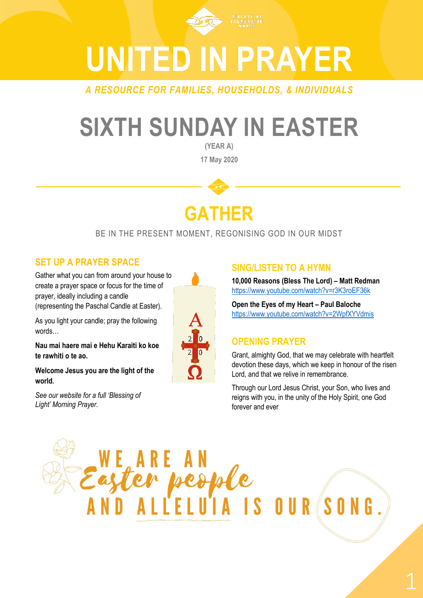

# **UNITED IN PRAYER**

*A RESOURCE FOR FAMILIES, HOUSEHOLDS, & INDIVIDUALS*

## **SIXTH SUNDAY IN EASTER**

**(YEAR A)**

**17 May 2020**

## **GATHER**

### BE IN THE PRESENT MOMENT, REGONISING GOD IN OUR MIDST

## **SET UP A PRAYER SPACE**

Gather what you can from around your house to create a prayer space or focus for the time of prayer, ideally including a candle (representing the Paschal Candle at Easter).

As you light your candle; pray the following words…

**Nau mai haere mai e Hehu Karaiti ko koe te rawhiti o te ao.** 

**Welcome Jesus you are the light of the world.**

*See our website for a full 'Blessing of Light' Morning Prayer.*



## **SING/LISTEN TO A HYMN**

**10,000 Reasons (Bless The Lord) – Matt Redman**  <https://www.youtube.com/watch?v=r3K3roEF36k>

**Open the Eyes of my Heart – Paul Baloche** <https://www.youtube.com/watch?v=2WpfXYVdmis>

## **OPENING PRAYER**

Grant, almighty God, that we may celebrate with heartfelt devotion these days, which we keep in honour of the risen Lord, and that we relive in remembrance.

Through our Lord Jesus Christ, your Son, who lives and reigns with you, in the unity of the Holy Spirit, one God forever and ever

ter people AND ALLELUIA IS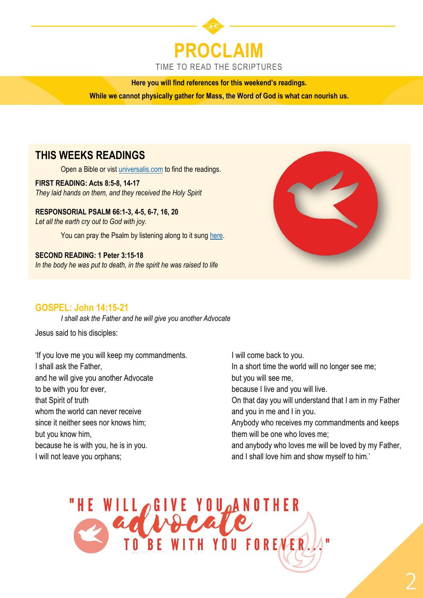

**Here you will find references for this weekend's readings.**

**While we cannot physically gather for Mass, the Word of God is what can nourish us.** 

## **THIS WEEKS READINGS**

Open a Bible or vist [universalis.com](https://universalis.com/mass.htm) to find the readings.

**FIRST READING: Acts 8:5-8, 14-17** *They laid hands on them, and they received the Holy Spirit*

**RESPONSORIAL PSALM 66:1-3, 4-5, 6-7, 16, 20** *Let all the earth cry out to God with joy.*

You can pray the Psalm by listening along to it sung [here.](https://www.youtube.com/watch?v=QvjjUQp3Q5k)

**SECOND READING: 1 Peter 3:15-18** *In the body he was put to death, in the spirit he was raised to life*



#### **GOSPEL: John 14:15-21**

*I shall ask the Father and he will give you another Advocate*

Jesus said to his disciples:

'If you love me you will keep my commandments. I shall ask the Father, and he will give you another Advocate to be with you for ever, that Spirit of truth whom the world can never receive since it neither sees nor knows him; but you know him, because he is with you, he is in you. I will not leave you orphans;

I will come back to you. In a short time the world will no longer see me; but you will see me, because I live and you will live. On that day you will understand that I am in my Father and you in me and I in you. Anybody who receives my commandments and keeps them will be one who loves me; and anybody who loves me will be loved by my Father, and I shall love him and show myself to him.'

## VE YOU ANOTHER YOU FORENER.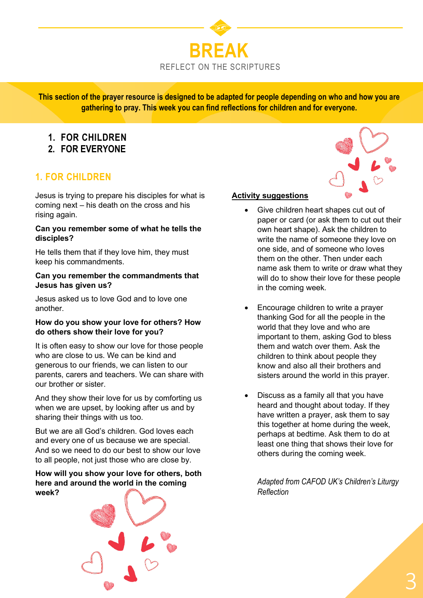

**This section of the prayer resource is designed to be adapted for people depending on who and how you are gathering to pray. This week you can find reflections for children and for everyone.**

## **1. FOR CHILDREN**

**2. FOR EVERYONE**

## **1. FOR CHILDREN**

Jesus is trying to prepare his disciples for what is coming next – his death on the cross and his rising again.

#### **Can you remember some of what he tells the disciples?**

He tells them that if they love him, they must keep his commandments.

#### **Can you remember the commandments that Jesus has given us?**

Jesus asked us to love God and to love one another.

#### **How do you show your love for others? How do others show their love for you?**

It is often easy to show our love for those people who are close to us. We can be kind and generous to our friends, we can listen to our parents, carers and teachers. We can share with our brother or sister.

And they show their love for us by comforting us when we are upset, by looking after us and by sharing their things with us too.

But we are all God's children. God loves each and every one of us because we are special. And so we need to do our best to show our love to all people, not just those who are close by.

#### **How will you show your love for others, both here and around the world in the coming week?**



#### **Activity suggestions**

- Give children heart shapes cut out of paper or card (or ask them to cut out their own heart shape). Ask the children to write the name of someone they love on one side, and of someone who loves them on the other. Then under each name ask them to write or draw what they will do to show their love for these people in the coming week.
- Encourage children to write a prayer thanking God for all the people in the world that they love and who are important to them, asking God to bless them and watch over them. Ask the children to think about people they know and also all their brothers and sisters around the world in this prayer.
- Discuss as a family all that you have heard and thought about today. If they have written a prayer, ask them to say this together at home during the week, perhaps at bedtime. Ask them to do at least one thing that shows their love for others during the coming week.

*Adapted from CAFOD UK's Children's Liturgy Reflection*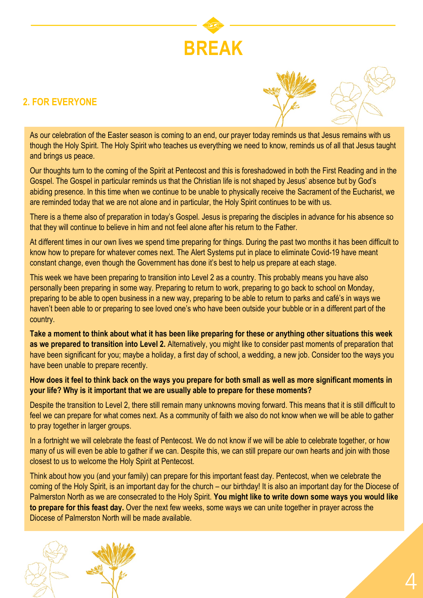

## **2. FOR EVERYONE**



As our celebration of the Easter season is coming to an end, our prayer today reminds us that Jesus remains with us though the Holy Spirit. The Holy Spirit who teaches us everything we need to know, reminds us of all that Jesus taught and brings us peace.

Our thoughts turn to the coming of the Spirit at Pentecost and this is foreshadowed in both the First Reading and in the Gospel. The Gospel in particular reminds us that the Christian life is not shaped by Jesus' absence but by God's abiding presence. In this time when we continue to be unable to physically receive the Sacrament of the Eucharist, we are reminded today that we are not alone and in particular, the Holy Spirit continues to be with us.

There is a theme also of preparation in today's Gospel. Jesus is preparing the disciples in advance for his absence so that they will continue to believe in him and not feel alone after his return to the Father.

At different times in our own lives we spend time preparing for things. During the past two months it has been difficult to know how to prepare for whatever comes next. The Alert Systems put in place to eliminate Covid-19 have meant constant change, even though the Government has done it's best to help us prepare at each stage.

This week we have been preparing to transition into Level 2 as a country. This probably means you have also personally been preparing in some way. Preparing to return to work, preparing to go back to school on Monday, preparing to be able to open business in a new way, preparing to be able to return to parks and café's in ways we haven't been able to or preparing to see loved one's who have been outside your bubble or in a different part of the country.

**Take a moment to think about what it has been like preparing for these or anything other situations this week as we prepared to transition into Level 2.** Alternatively, you might like to consider past moments of preparation that have been significant for you; maybe a holiday, a first day of school, a wedding, a new job. Consider too the ways you have been unable to prepare recently.

**How does it feel to think back on the ways you prepare for both small as well as more significant moments in your life? Why is it important that we are usually able to prepare for these moments?** 

Despite the transition to Level 2, there still remain many unknowns moving forward. This means that it is still difficult to feel we can prepare for what comes next. As a community of faith we also do not know when we will be able to gather to pray together in larger groups.

In a fortnight we will celebrate the feast of Pentecost. We do not know if we will be able to celebrate together, or how many of us will even be able to gather if we can. Despite this, we can still prepare our own hearts and join with those closest to us to welcome the Holy Spirit at Pentecost.

Think about how you (and your family) can prepare for this important feast day. Pentecost, when we celebrate the coming of the Holy Spirit, is an important day for the church – our birthday! It is also an important day for the Diocese of Palmerston North as we are consecrated to the Holy Spirit. **You might like to write down some ways you would like to prepare for this feast day.** Over the next few weeks, some ways we can unite together in prayer across the Diocese of Palmerston North will be made available.